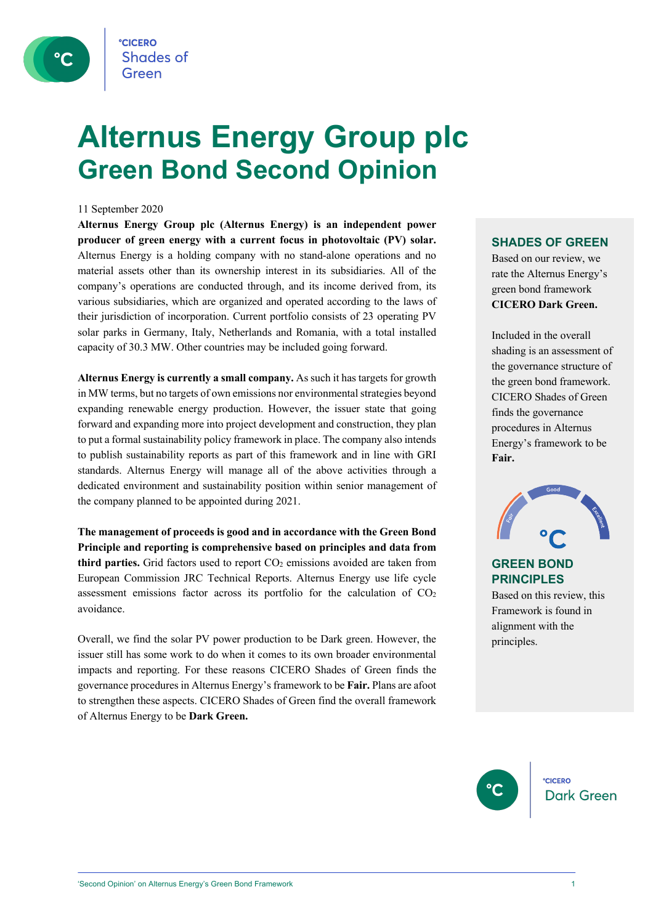

## **Alternus Energy Group plc Green Bond Second Opinion**

#### 11 September 2020

**Alternus Energy Group plc (Alternus Energy) is an independent power producer of green energy with a current focus in photovoltaic (PV) solar.** Alternus Energy is a holding company with no stand-alone operations and no material assets other than its ownership interest in its subsidiaries. All of the company's operations are conducted through, and its income derived from, its various subsidiaries, which are organized and operated according to the laws of their jurisdiction of incorporation. Current portfolio consists of 23 operating PV solar parks in Germany, Italy, Netherlands and Romania, with a total installed capacity of 30.3 MW. Other countries may be included going forward.

**Alternus Energy is currently a small company.** As such it has targets for growth in MW terms, but no targets of own emissions nor environmental strategies beyond expanding renewable energy production. However, the issuer state that going forward and expanding more into project development and construction, they plan to put a formal sustainability policy framework in place. The company also intends to publish sustainability reports as part of this framework and in line with GRI standards. Alternus Energy will manage all of the above activities through a dedicated environment and sustainability position within senior management of the company planned to be appointed during 2021.

**The management of proceeds is good and in accordance with the Green Bond Principle and reporting is comprehensive based on principles and data from**  third parties. Grid factors used to report CO<sub>2</sub> emissions avoided are taken from European Commission JRC Technical Reports. Alternus Energy use life cycle assessment emissions factor across its portfolio for the calculation of CO2 avoidance.

Overall, we find the solar PV power production to be Dark green. However, the issuer still has some work to do when it comes to its own broader environmental impacts and reporting. For these reasons CICERO Shades of Green finds the governance procedures in Alternus Energy's framework to be **Fair.** Plans are afoot to strengthen these aspects. CICERO Shades of Green find the overall framework of Alternus Energy to be **Dark Green.**

### **SHADES OF GREEN**

Based on our review, we rate the Alternus Energy's green bond framework **CICERO Dark Green.** 

Included in the overall shading is an assessment of the governance structure of the green bond framework. CICERO Shades of Green finds the governance procedures in Alternus Energy's framework to be **Fair.**



### **GREEN BOND PRINCIPLES**

Based on this review, this Framework is found in alignment with the principles.



**CICERO Dark Green**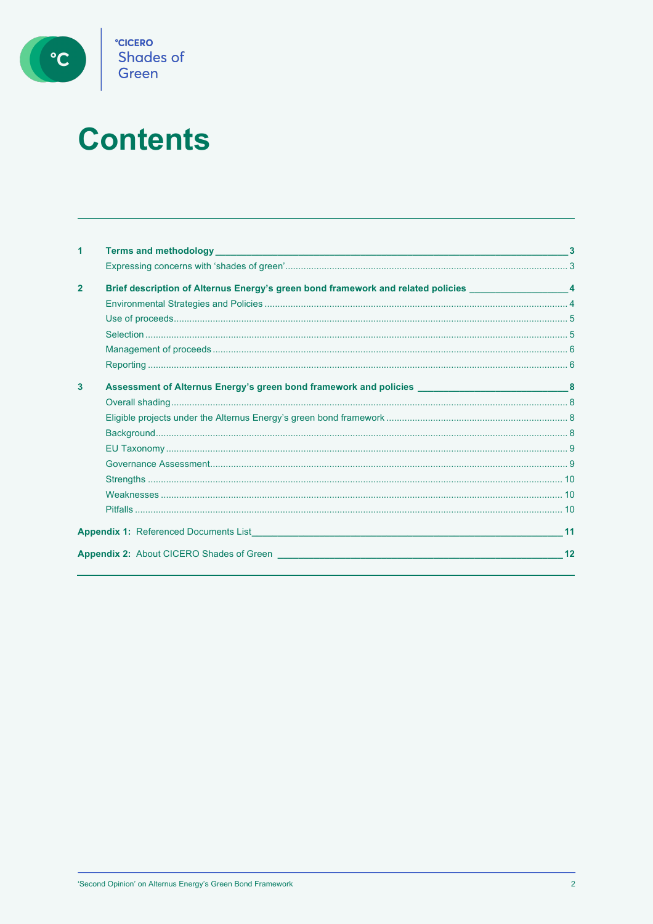

# **Contents**

| 1              |                                                                                                                 |    |
|----------------|-----------------------------------------------------------------------------------------------------------------|----|
|                |                                                                                                                 |    |
| $\overline{2}$ | Brief description of Alternus Energy's green bond framework and related policies __________________4            |    |
|                |                                                                                                                 |    |
|                |                                                                                                                 |    |
|                |                                                                                                                 |    |
|                |                                                                                                                 |    |
|                |                                                                                                                 |    |
| $\mathbf{3}$   | Assessment of Alternus Energy's green bond framework and policies _________________________________8            |    |
|                |                                                                                                                 |    |
|                |                                                                                                                 |    |
|                |                                                                                                                 |    |
|                |                                                                                                                 |    |
|                |                                                                                                                 |    |
|                |                                                                                                                 |    |
|                |                                                                                                                 |    |
|                |                                                                                                                 |    |
|                | <b>Appendix 1:</b> Referenced Documents List <b>Example 2018 Contract Appendix 1:</b> Referenced Documents List | 11 |
|                | <b>Appendix 2:</b> About CICERO Shades of Green                                                                 | 12 |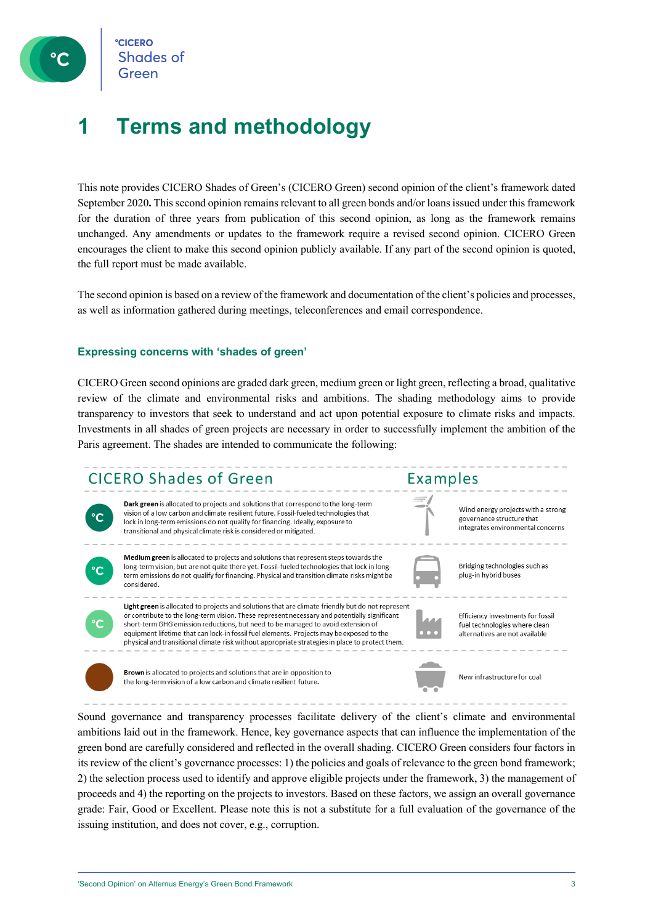**CICERC Shades of** 

### **1 Terms and methodology**

This note provides CICERO Shades of Green's (CICERO Green) second opinion of the client's framework dated September 2020**.** This second opinion remains relevant to all green bonds and/or loansissued under this framework for the duration of three years from publication of this second opinion, as long as the framework remains unchanged. Any amendments or updates to the framework require a revised second opinion. CICERO Green encourages the client to make this second opinion publicly available. If any part of the second opinion is quoted, the full report must be made available.

The second opinion is based on a review of the framework and documentation of the client's policies and processes, as well as information gathered during meetings, teleconferences and email correspondence.

### **Expressing concerns with 'shades of green'**

CICERO Green second opinions are graded dark green, medium green or light green, reflecting a broad, qualitative review of the climate and environmental risks and ambitions. The shading methodology aims to provide transparency to investors that seek to understand and act upon potential exposure to climate risks and impacts. Investments in all shades of green projects are necessary in order to successfully implement the ambition of the Paris agreement. The shades are intended to communicate the following:

### CICERO Shades of Green



Dark green is allocated to projects and solutions that correspond to the long-term vision of a low carbon and climate resilient future. Fossil-fueled technologies that lock in long-term emissions do not qualify for financing. Ideally, exposure to transitional and physical climate risk is considered or mitigated.



Medium green is allocated to projects and solutions that represent steps towards the long-term vision, but are not quite there yet. Fossil-fueled technologies that lock in longterm emissions do not qualify for financing. Physical and transition climate risks might be considered.



Light green is allocated to projects and solutions that are climate friendly but do not represent or contribute to the long-term vision. These represent necessary and potentially significant short-term GHG emission reductions, but need to be managed to avoid extension of equipment lifetime that can lock-in fossil fuel elements. Projects may be exposed to the physical and transitional climate risk without appropriate strategies in place to protect them.

Examples



Bridging technologies such as

plug-in hybrid buses

Wind energy projects with a strong

integrates environmental concerns

governance structure that



**Brown** is allocated to projects and solutions that are in opposition to the long-term vision of a low carbon and climate resilient future.



Sound governance and transparency processes facilitate delivery of the client's climate and environmental ambitions laid out in the framework. Hence, key governance aspects that can influence the implementation of the green bond are carefully considered and reflected in the overall shading. CICERO Green considers four factors in its review of the client's governance processes: 1) the policies and goals of relevance to the green bond framework; 2) the selection process used to identify and approve eligible projects under the framework, 3) the management of proceeds and 4) the reporting on the projects to investors. Based on these factors, we assign an overall governance grade: Fair, Good or Excellent. Please note this is not a substitute for a full evaluation of the governance of the issuing institution, and does not cover, e.g., corruption.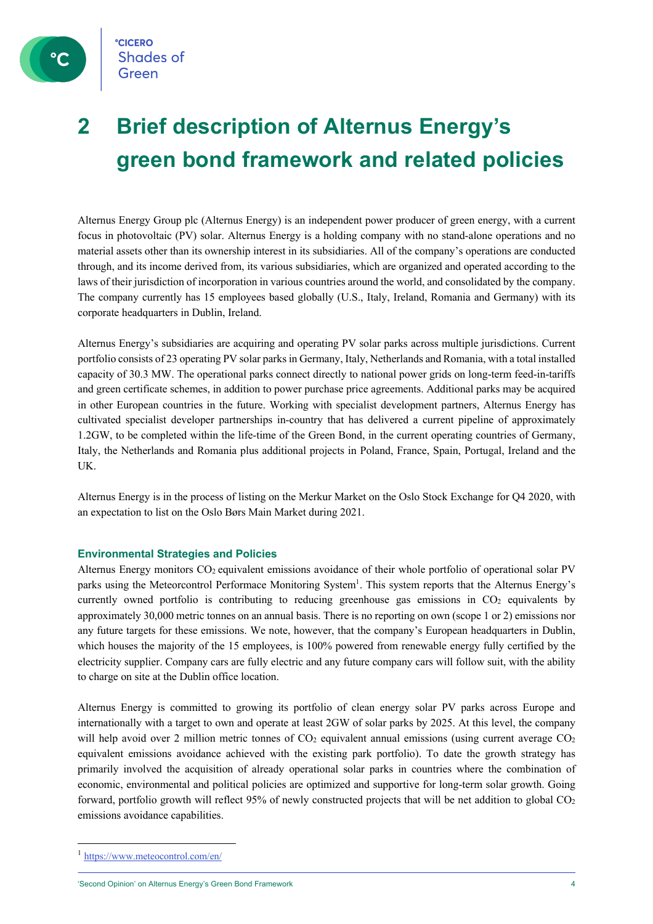

## **2 Brief description of Alternus Energy's green bond framework and related policies**

Alternus Energy Group plc (Alternus Energy) is an independent power producer of green energy, with a current focus in photovoltaic (PV) solar. Alternus Energy is a holding company with no stand-alone operations and no material assets other than its ownership interest in its subsidiaries. All of the company's operations are conducted through, and its income derived from, its various subsidiaries, which are organized and operated according to the laws of their jurisdiction of incorporation in various countries around the world, and consolidated by the company. The company currently has 15 employees based globally (U.S., Italy, Ireland, Romania and Germany) with its corporate headquarters in Dublin, Ireland.

Alternus Energy's subsidiaries are acquiring and operating PV solar parks across multiple jurisdictions. Current portfolio consists of 23 operating PV solar parks in Germany, Italy, Netherlands and Romania, with a total installed capacity of 30.3 MW. The operational parks connect directly to national power grids on long-term feed-in-tariffs and green certificate schemes, in addition to power purchase price agreements. Additional parks may be acquired in other European countries in the future. Working with specialist development partners, Alternus Energy has cultivated specialist developer partnerships in-country that has delivered a current pipeline of approximately 1.2GW, to be completed within the life-time of the Green Bond, in the current operating countries of Germany, Italy, the Netherlands and Romania plus additional projects in Poland, France, Spain, Portugal, Ireland and the UK.

Alternus Energy is in the process of listing on the Merkur Market on the Oslo Stock Exchange for Q4 2020, with an expectation to list on the Oslo Børs Main Market during 2021.

### **Environmental Strategies and Policies**

Alternus Energy monitors CO2 equivalent emissions avoidance of their whole portfolio of operational solar PV parks using the Meteorcontrol Performace Monitoring System<sup>1</sup>. This system reports that the Alternus Energy's currently owned portfolio is contributing to reducing greenhouse gas emissions in  $CO<sub>2</sub>$  equivalents by approximately 30,000 metric tonnes on an annual basis. There is no reporting on own (scope 1 or 2) emissions nor any future targets for these emissions. We note, however, that the company's European headquarters in Dublin, which houses the majority of the 15 employees, is 100% powered from renewable energy fully certified by the electricity supplier. Company cars are fully electric and any future company cars will follow suit, with the ability to charge on site at the Dublin office location.

Alternus Energy is committed to growing its portfolio of clean energy solar PV parks across Europe and internationally with a target to own and operate at least 2GW of solar parks by 2025. At this level, the company will help avoid over 2 million metric tonnes of  $CO<sub>2</sub>$  equivalent annual emissions (using current average  $CO<sub>2</sub>$ equivalent emissions avoidance achieved with the existing park portfolio). To date the growth strategy has primarily involved the acquisition of already operational solar parks in countries where the combination of economic, environmental and political policies are optimized and supportive for long-term solar growth. Going forward, portfolio growth will reflect 95% of newly constructed projects that will be net addition to global CO<sub>2</sub> emissions avoidance capabilities.

<sup>1</sup> https://www.meteocontrol.com/en/

<sup>&#</sup>x27;Second Opinion' on Alternus Energy's Green Bond Framework 4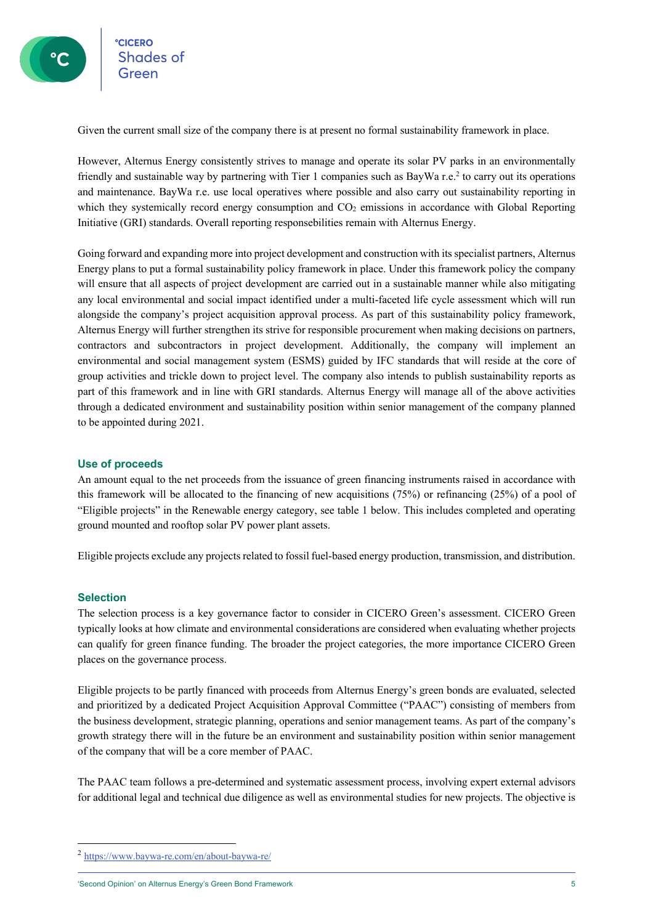<sup>e</sup>cicero<br>Shades of

Given the current small size of the company there is at present no formal sustainability framework in place.

However, Alternus Energy consistently strives to manage and operate its solar PV parks in an environmentally friendly and sustainable way by partnering with Tier 1 companies such as BayWa r.e.<sup>2</sup> to carry out its operations and maintenance. BayWa r.e. use local operatives where possible and also carry out sustainability reporting in which they systemically record energy consumption and  $CO<sub>2</sub>$  emissions in accordance with Global Reporting Initiative (GRI) standards. Overall reporting responsebilities remain with Alternus Energy.

Going forward and expanding more into project development and construction with its specialist partners, Alternus Energy plans to put a formal sustainability policy framework in place. Under this framework policy the company will ensure that all aspects of project development are carried out in a sustainable manner while also mitigating any local environmental and social impact identified under a multi-faceted life cycle assessment which will run alongside the company's project acquisition approval process. As part of this sustainability policy framework, Alternus Energy will further strengthen its strive for responsible procurement when making decisions on partners, contractors and subcontractors in project development. Additionally, the company will implement an environmental and social management system (ESMS) guided by IFC standards that will reside at the core of group activities and trickle down to project level. The company also intends to publish sustainability reports as part of this framework and in line with GRI standards. Alternus Energy will manage all of the above activities through a dedicated environment and sustainability position within senior management of the company planned to be appointed during 2021.

### **Use of proceeds**

An amount equal to the net proceeds from the issuance of green financing instruments raised in accordance with this framework will be allocated to the financing of new acquisitions (75%) or refinancing (25%) of a pool of "Eligible projects" in the Renewable energy category, see table 1 below. This includes completed and operating ground mounted and rooftop solar PV power plant assets.

Eligible projects exclude any projects related to fossil fuel-based energy production, transmission, and distribution.

### **Selection**

The selection process is a key governance factor to consider in CICERO Green's assessment. CICERO Green typically looks at how climate and environmental considerations are considered when evaluating whether projects can qualify for green finance funding. The broader the project categories, the more importance CICERO Green places on the governance process.

Eligible projects to be partly financed with proceeds from Alternus Energy's green bonds are evaluated, selected and prioritized by a dedicated Project Acquisition Approval Committee ("PAAC") consisting of members from the business development, strategic planning, operations and senior management teams. As part of the company's growth strategy there will in the future be an environment and sustainability position within senior management of the company that will be a core member of PAAC.

The PAAC team follows a pre-determined and systematic assessment process, involving expert external advisors for additional legal and technical due diligence as well as environmental studies for new projects. The objective is

<sup>2</sup> https://www.baywa-re.com/en/about-baywa-re/

<sup>&#</sup>x27;Second Opinion' on Alternus Energy's Green Bond Framework 5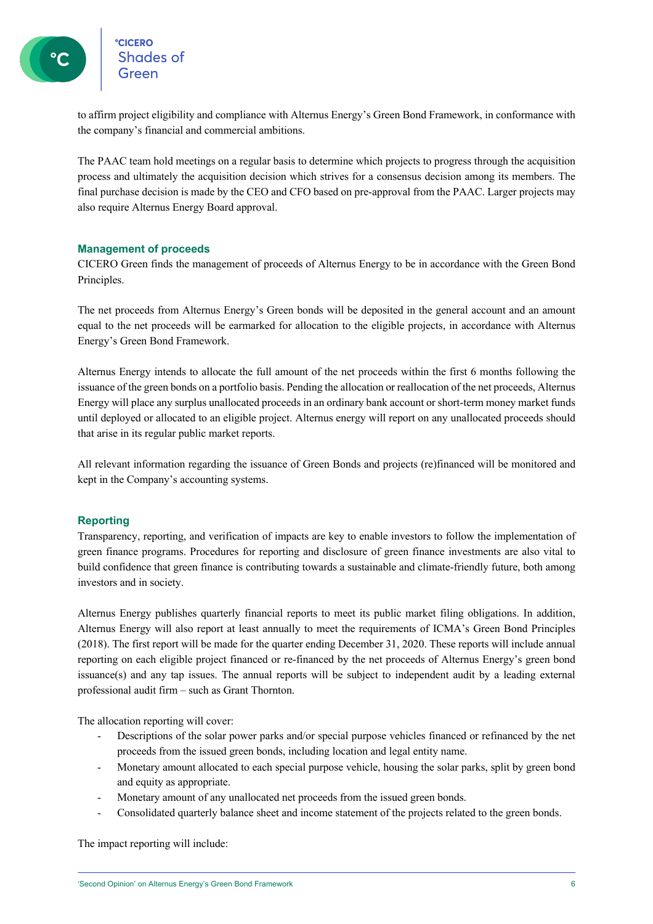°cicero<br>Shades of

to affirm project eligibility and compliance with Alternus Energy's Green Bond Framework, in conformance with the company's financial and commercial ambitions.

The PAAC team hold meetings on a regular basis to determine which projects to progress through the acquisition process and ultimately the acquisition decision which strives for a consensus decision among its members. The final purchase decision is made by the CEO and CFO based on pre-approval from the PAAC. Larger projects may also require Alternus Energy Board approval.

### **Management of proceeds**

CICERO Green finds the management of proceeds of Alternus Energy to be in accordance with the Green Bond Principles.

The net proceeds from Alternus Energy's Green bonds will be deposited in the general account and an amount equal to the net proceeds will be earmarked for allocation to the eligible projects, in accordance with Alternus Energy's Green Bond Framework.

Alternus Energy intends to allocate the full amount of the net proceeds within the first 6 months following the issuance of the green bonds on a portfolio basis. Pending the allocation or reallocation of the net proceeds, Alternus Energy will place any surplus unallocated proceeds in an ordinary bank account or short-term money market funds until deployed or allocated to an eligible project. Alternus energy will report on any unallocated proceeds should that arise in its regular public market reports.

All relevant information regarding the issuance of Green Bonds and projects (re)financed will be monitored and kept in the Company's accounting systems.

### **Reporting**

Transparency, reporting, and verification of impacts are key to enable investors to follow the implementation of green finance programs. Procedures for reporting and disclosure of green finance investments are also vital to build confidence that green finance is contributing towards a sustainable and climate-friendly future, both among investors and in society.

Alternus Energy publishes quarterly financial reports to meet its public market filing obligations. In addition, Alternus Energy will also report at least annually to meet the requirements of ICMA's Green Bond Principles (2018). The first report will be made for the quarter ending December 31, 2020. These reports will include annual reporting on each eligible project financed or re-financed by the net proceeds of Alternus Energy's green bond issuance(s) and any tap issues. The annual reports will be subject to independent audit by a leading external professional audit firm – such as Grant Thornton.

The allocation reporting will cover:

- Descriptions of the solar power parks and/or special purpose vehicles financed or refinanced by the net proceeds from the issued green bonds, including location and legal entity name.
- Monetary amount allocated to each special purpose vehicle, housing the solar parks, split by green bond and equity as appropriate.
- Monetary amount of any unallocated net proceeds from the issued green bonds.
- Consolidated quarterly balance sheet and income statement of the projects related to the green bonds.

The impact reporting will include: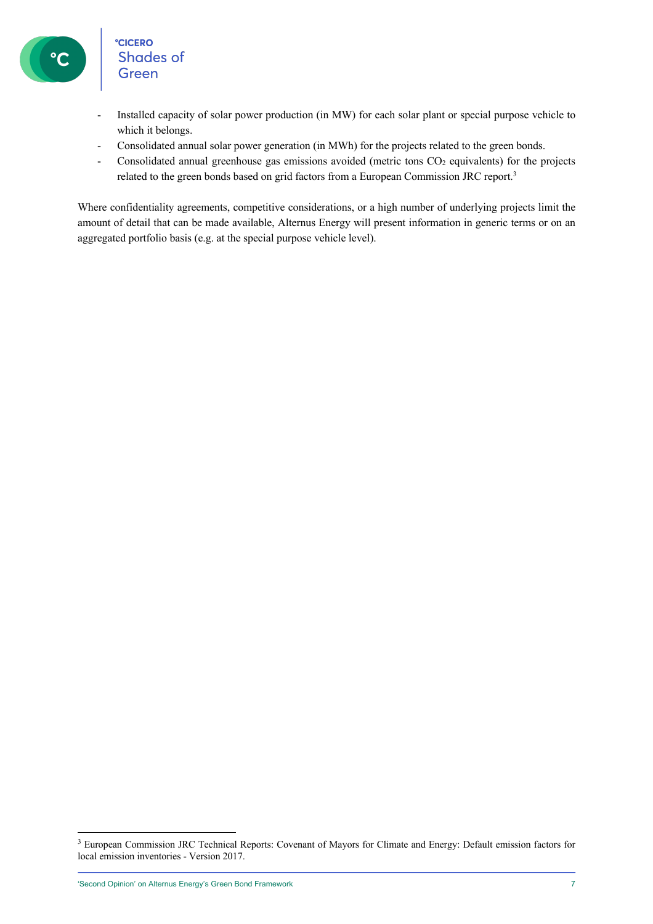# °cicero<br>Shades of<br>Green

- Installed capacity of solar power production (in MW) for each solar plant or special purpose vehicle to which it belongs.
- Consolidated annual solar power generation (in MWh) for the projects related to the green bonds.
- Consolidated annual greenhouse gas emissions avoided (metric tons CO<sub>2</sub> equivalents) for the projects related to the green bonds based on grid factors from a European Commission JRC report.3

Where confidentiality agreements, competitive considerations, or a high number of underlying projects limit the amount of detail that can be made available, Alternus Energy will present information in generic terms or on an aggregated portfolio basis (e.g. at the special purpose vehicle level).

<sup>&</sup>lt;sup>3</sup> European Commission JRC Technical Reports: Covenant of Mayors for Climate and Energy: Default emission factors for local emission inventories - Version 2017.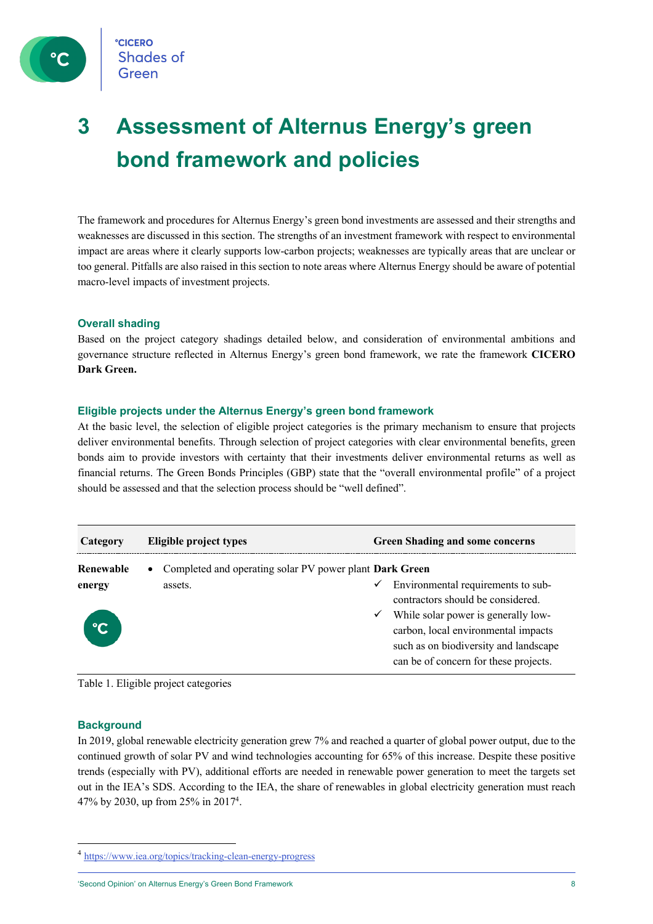

## **3 Assessment of Alternus Energy's green bond framework and policies**

The framework and procedures for Alternus Energy's green bond investments are assessed and their strengths and weaknesses are discussed in this section. The strengths of an investment framework with respect to environmental impact are areas where it clearly supports low-carbon projects; weaknesses are typically areas that are unclear or too general. Pitfalls are also raised in this section to note areas where Alternus Energy should be aware of potential macro-level impacts of investment projects.

### **Overall shading**

Based on the project category shadings detailed below, and consideration of environmental ambitions and governance structure reflected in Alternus Energy's green bond framework, we rate the framework **CICERO Dark Green.**

### **Eligible projects under the Alternus Energy's green bond framework**

At the basic level, the selection of eligible project categories is the primary mechanism to ensure that projects deliver environmental benefits. Through selection of project categories with clear environmental benefits, green bonds aim to provide investors with certainty that their investments deliver environmental returns as well as financial returns. The Green Bonds Principles (GBP) state that the "overall environmental profile" of a project should be assessed and that the selection process should be "well defined".

| Category                                                               | Eligible project types |              | <b>Green Shading and some concerns</b>                                                                                                                       |
|------------------------------------------------------------------------|------------------------|--------------|--------------------------------------------------------------------------------------------------------------------------------------------------------------|
| Renewable<br>• Completed and operating solar PV power plant Dark Green |                        |              |                                                                                                                                                              |
| energy                                                                 | assets.                | $\checkmark$ | Environmental requirements to sub-<br>contractors should be considered.                                                                                      |
|                                                                        |                        | ✓            | While solar power is generally low-<br>carbon, local environmental impacts<br>such as on biodiversity and landscape<br>can be of concern for these projects. |

Table 1. Eligible project categories

### **Background**

In 2019, global renewable electricity generation grew 7% and reached a quarter of global power output, due to the continued growth of solar PV and wind technologies accounting for 65% of this increase. Despite these positive trends (especially with PV), additional efforts are needed in renewable power generation to meet the targets set out in the IEA's SDS. According to the IEA, the share of renewables in global electricity generation must reach 47% by 2030, up from 25% in 20174 .

'Second Opinion' on Alternus Energy's Green Bond Framework 8

<sup>&</sup>lt;sup>4</sup> https://www.iea.org/topics/tracking-clean-energy-progress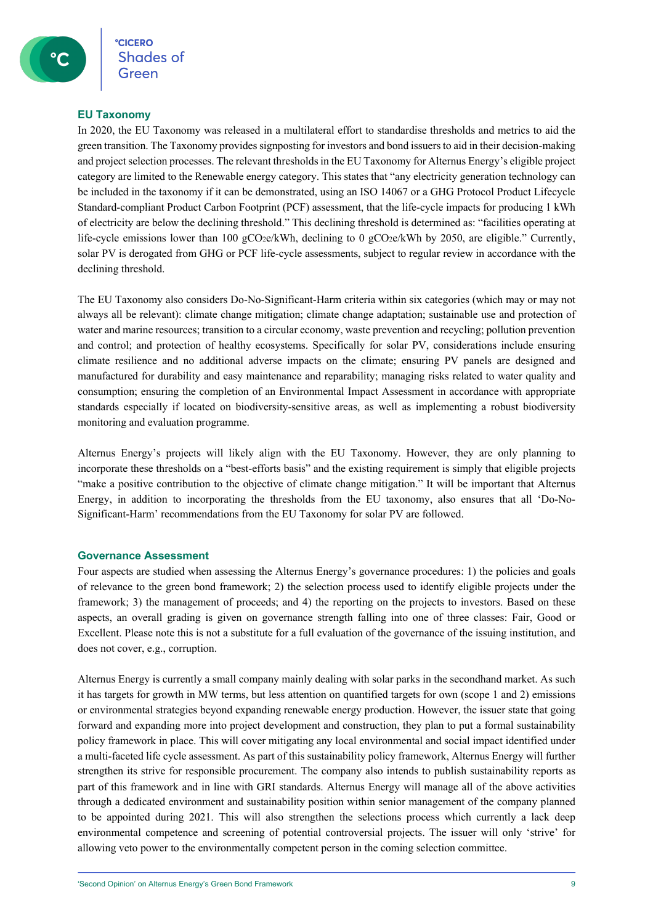### **EU Taxonomy**

In 2020, the EU Taxonomy was released in a multilateral effort to standardise thresholds and metrics to aid the green transition. The Taxonomy provides signposting for investors and bond issuers to aid in their decision-making and project selection processes. The relevant thresholds in the EU Taxonomy for Alternus Energy's eligible project category are limited to the Renewable energy category. This states that "any electricity generation technology can be included in the taxonomy if it can be demonstrated, using an ISO 14067 or a GHG Protocol Product Lifecycle Standard-compliant Product Carbon Footprint (PCF) assessment, that the life-cycle impacts for producing 1 kWh of electricity are below the declining threshold." This declining threshold is determined as: "facilities operating at life-cycle emissions lower than 100  $gCO_2e/kWh$ , declining to 0  $gCO_2e/kWh$  by 2050, are eligible." Currently, solar PV is derogated from GHG or PCF life-cycle assessments, subject to regular review in accordance with the declining threshold.

The EU Taxonomy also considers Do-No-Significant-Harm criteria within six categories (which may or may not always all be relevant): climate change mitigation; climate change adaptation; sustainable use and protection of water and marine resources; transition to a circular economy, waste prevention and recycling; pollution prevention and control; and protection of healthy ecosystems. Specifically for solar PV, considerations include ensuring climate resilience and no additional adverse impacts on the climate; ensuring PV panels are designed and manufactured for durability and easy maintenance and reparability; managing risks related to water quality and consumption; ensuring the completion of an Environmental Impact Assessment in accordance with appropriate standards especially if located on biodiversity-sensitive areas, as well as implementing a robust biodiversity monitoring and evaluation programme.

Alternus Energy's projects will likely align with the EU Taxonomy. However, they are only planning to incorporate these thresholds on a "best-efforts basis" and the existing requirement is simply that eligible projects "make a positive contribution to the objective of climate change mitigation." It will be important that Alternus Energy, in addition to incorporating the thresholds from the EU taxonomy, also ensures that all 'Do-No-Significant-Harm' recommendations from the EU Taxonomy for solar PV are followed.

### **Governance Assessment**

Four aspects are studied when assessing the Alternus Energy's governance procedures: 1) the policies and goals of relevance to the green bond framework; 2) the selection process used to identify eligible projects under the framework; 3) the management of proceeds; and 4) the reporting on the projects to investors. Based on these aspects, an overall grading is given on governance strength falling into one of three classes: Fair, Good or Excellent. Please note this is not a substitute for a full evaluation of the governance of the issuing institution, and does not cover, e.g., corruption.

Alternus Energy is currently a small company mainly dealing with solar parks in the secondhand market. As such it has targets for growth in MW terms, but less attention on quantified targets for own (scope 1 and 2) emissions or environmental strategies beyond expanding renewable energy production. However, the issuer state that going forward and expanding more into project development and construction, they plan to put a formal sustainability policy framework in place. This will cover mitigating any local environmental and social impact identified under a multi-faceted life cycle assessment. As part of this sustainability policy framework, Alternus Energy will further strengthen its strive for responsible procurement. The company also intends to publish sustainability reports as part of this framework and in line with GRI standards. Alternus Energy will manage all of the above activities through a dedicated environment and sustainability position within senior management of the company planned to be appointed during 2021. This will also strengthen the selections process which currently a lack deep environmental competence and screening of potential controversial projects. The issuer will only 'strive' for allowing veto power to the environmentally competent person in the coming selection committee.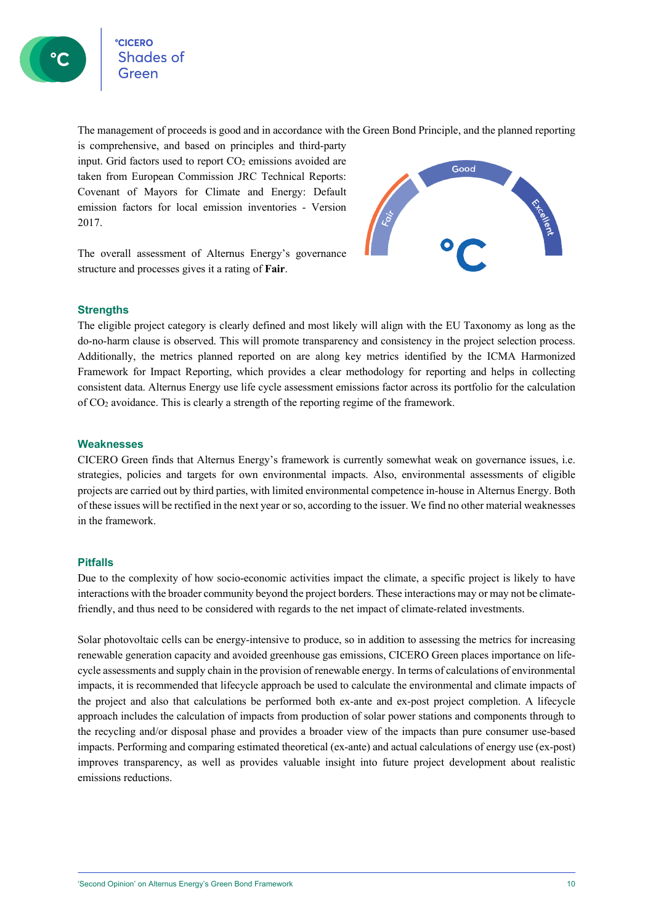The management of proceeds is good and in accordance with the Green Bond Principle, and the planned reporting

is comprehensive, and based on principles and third-party input. Grid factors used to report CO<sub>2</sub> emissions avoided are taken from European Commission JRC Technical Reports: Covenant of Mayors for Climate and Energy: Default emission factors for local emission inventories - Version 2017.

The overall assessment of Alternus Energy's governance structure and processes gives it a rating of **Fair**.



### **Strengths**

The eligible project category is clearly defined and most likely will align with the EU Taxonomy as long as the do-no-harm clause is observed. This will promote transparency and consistency in the project selection process. Additionally, the metrics planned reported on are along key metrics identified by the ICMA Harmonized Framework for Impact Reporting, which provides a clear methodology for reporting and helps in collecting consistent data. Alternus Energy use life cycle assessment emissions factor across its portfolio for the calculation of CO2 avoidance. This is clearly a strength of the reporting regime of the framework.

### **Weaknesses**

CICERO Green finds that Alternus Energy's framework is currently somewhat weak on governance issues, i.e. strategies, policies and targets for own environmental impacts. Also, environmental assessments of eligible projects are carried out by third parties, with limited environmental competence in-house in Alternus Energy. Both of these issues will be rectified in the next year or so, according to the issuer. We find no other material weaknesses in the framework.

### **Pitfalls**

Due to the complexity of how socio-economic activities impact the climate, a specific project is likely to have interactions with the broader community beyond the project borders. These interactions may or may not be climatefriendly, and thus need to be considered with regards to the net impact of climate-related investments.

Solar photovoltaic cells can be energy-intensive to produce, so in addition to assessing the metrics for increasing renewable generation capacity and avoided greenhouse gas emissions, CICERO Green places importance on lifecycle assessments and supply chain in the provision of renewable energy. In terms of calculations of environmental impacts, it is recommended that lifecycle approach be used to calculate the environmental and climate impacts of the project and also that calculations be performed both ex-ante and ex-post project completion. A lifecycle approach includes the calculation of impacts from production of solar power stations and components through to the recycling and/or disposal phase and provides a broader view of the impacts than pure consumer use-based impacts. Performing and comparing estimated theoretical (ex-ante) and actual calculations of energy use (ex-post) improves transparency, as well as provides valuable insight into future project development about realistic emissions reductions.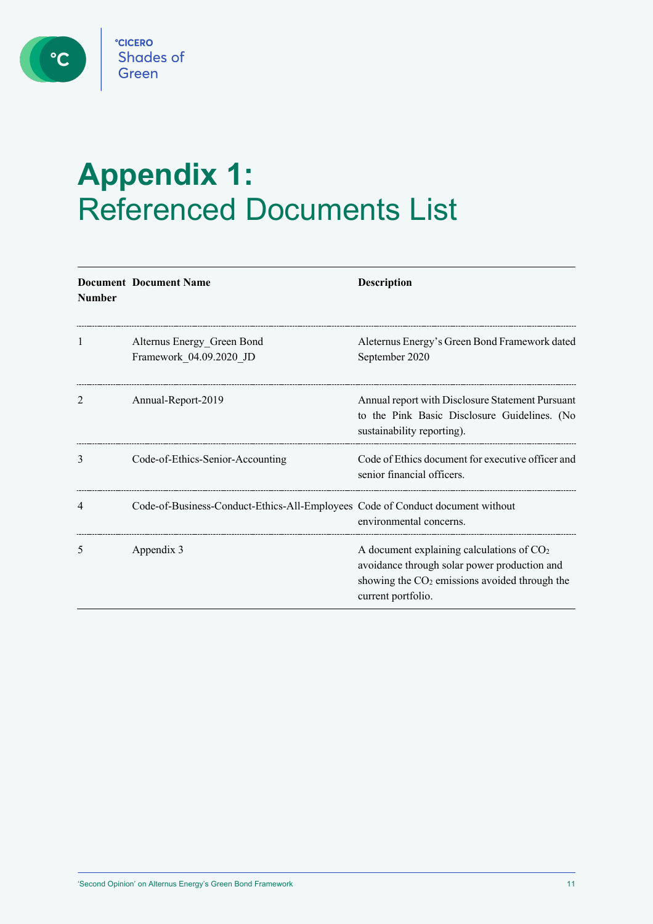C

# **Appendix 1:**  Referenced Documents List

| <b>Number</b> | <b>Document Document Name</b>                                                  | <b>Description</b>                                                                                                                                                   |
|---------------|--------------------------------------------------------------------------------|----------------------------------------------------------------------------------------------------------------------------------------------------------------------|
| 1             | Alternus Energy Green Bond<br>Framework_04.09.2020_JD                          | Aleternus Energy's Green Bond Framework dated<br>September 2020                                                                                                      |
| 2             | Annual-Report-2019                                                             | Annual report with Disclosure Statement Pursuant<br>to the Pink Basic Disclosure Guidelines. (No<br>sustainability reporting).                                       |
| 3             | Code-of-Ethics-Senior-Accounting                                               | Code of Ethics document for executive officer and<br>senior financial officers.                                                                                      |
| 4             | Code-of-Business-Conduct-Ethics-All-Employees Code of Conduct document without | environmental concerns.                                                                                                                                              |
| 5             | Appendix 3                                                                     | A document explaining calculations of $CO2$<br>avoidance through solar power production and<br>showing the $CO2$ emissions avoided through the<br>current portfolio. |